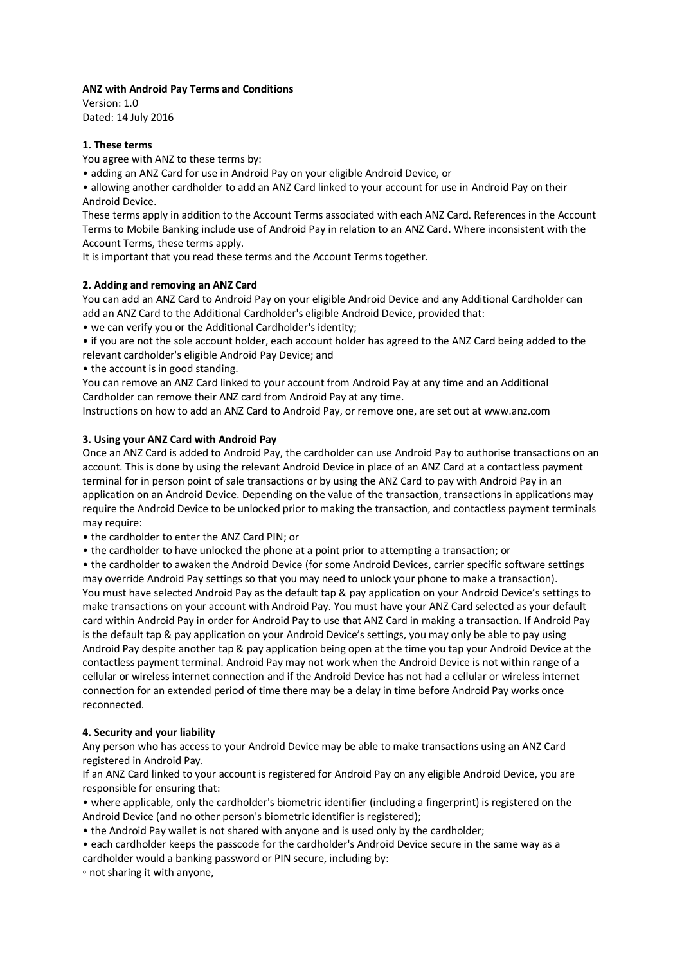## **ANZ with Android Pay Terms and Conditions**

Version: 1.0 Dated: 14 July 2016

# **1. These terms**

You agree with ANZ to these terms by:

• adding an ANZ Card for use in Android Pay on your eligible Android Device, or

• allowing another cardholder to add an ANZ Card linked to your account for use in Android Pay on their Android Device.

These terms apply in addition to the Account Terms associated with each ANZ Card. References in the Account Terms to Mobile Banking include use of Android Pay in relation to an ANZ Card. Where inconsistent with the Account Terms, these terms apply.

It is important that you read these terms and the Account Terms together.

## **2. Adding and removing an ANZ Card**

You can add an ANZ Card to Android Pay on your eligible Android Device and any Additional Cardholder can add an ANZ Card to the Additional Cardholder's eligible Android Device, provided that:

• we can verify you or the Additional Cardholder's identity;

• if you are not the sole account holder, each account holder has agreed to the ANZ Card being added to the relevant cardholder's eligible Android Pay Device; and

• the account is in good standing.

You can remove an ANZ Card linked to your account from Android Pay at any time and an Additional Cardholder can remove their ANZ card from Android Pay at any time.

Instructions on how to add an ANZ Card to Android Pay, or remove one, are set out at www.anz.com

# **3. Using your ANZ Card with Android Pay**

Once an ANZ Card is added to Android Pay, the cardholder can use Android Pay to authorise transactions on an account. This is done by using the relevant Android Device in place of an ANZ Card at a contactless payment terminal for in person point of sale transactions or by using the ANZ Card to pay with Android Pay in an application on an Android Device. Depending on the value of the transaction, transactions in applications may require the Android Device to be unlocked prior to making the transaction, and contactless payment terminals may require:

• the cardholder to enter the ANZ Card PIN; or

• the cardholder to have unlocked the phone at a point prior to attempting a transaction; or

• the cardholder to awaken the Android Device (for some Android Devices, carrier specific software settings may override Android Pay settings so that you may need to unlock your phone to make a transaction). You must have selected Android Pay as the default tap & pay application on your Android Device's settings to make transactions on your account with Android Pay. You must have your ANZ Card selected as your default card within Android Pay in order for Android Pay to use that ANZ Card in making a transaction. If Android Pay is the default tap & pay application on your Android Device's settings, you may only be able to pay using Android Pay despite another tap & pay application being open at the time you tap your Android Device at the contactless payment terminal. Android Pay may not work when the Android Device is not within range of a cellular or wireless internet connection and if the Android Device has not had a cellular or wireless internet connection for an extended period of time there may be a delay in time before Android Pay works once reconnected.

## **4. Security and your liability**

Any person who has access to your Android Device may be able to make transactions using an ANZ Card registered in Android Pay.

If an ANZ Card linked to your account is registered for Android Pay on any eligible Android Device, you are responsible for ensuring that:

• where applicable, only the cardholder's biometric identifier (including a fingerprint) is registered on the Android Device (and no other person's biometric identifier is registered);

- the Android Pay wallet is not shared with anyone and is used only by the cardholder;
- each cardholder keeps the passcode for the cardholder's Android Device secure in the same way as a cardholder would a banking password or PIN secure, including by:

◦ not sharing it with anyone,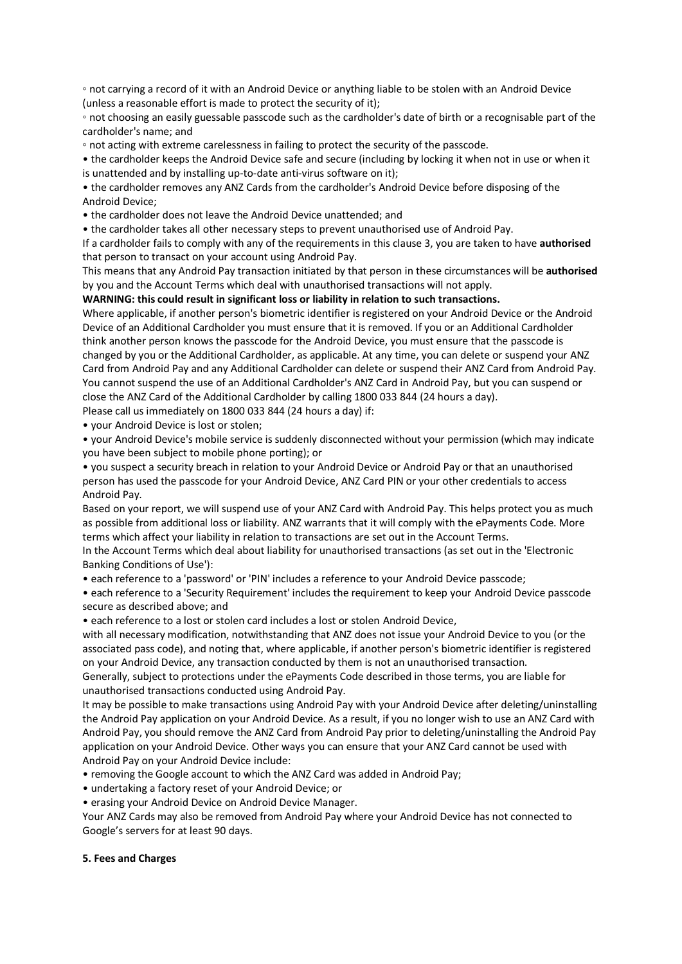◦ not carrying a record of it with an Android Device or anything liable to be stolen with an Android Device (unless a reasonable effort is made to protect the security of it);

◦ not choosing an easily guessable passcode such as the cardholder's date of birth or a recognisable part of the cardholder's name; and

◦ not acting with extreme carelessness in failing to protect the security of the passcode.

• the cardholder keeps the Android Device safe and secure (including by locking it when not in use or when it is unattended and by installing up-to-date anti-virus software on it);

• the cardholder removes any ANZ Cards from the cardholder's Android Device before disposing of the Android Device;

• the cardholder does not leave the Android Device unattended; and

• the cardholder takes all other necessary steps to prevent unauthorised use of Android Pay.

If a cardholder fails to comply with any of the requirements in this clause 3, you are taken to have **authorised**  that person to transact on your account using Android Pay.

This means that any Android Pay transaction initiated by that person in these circumstances will be **authorised**  by you and the Account Terms which deal with unauthorised transactions will not apply.

**WARNING: this could result in significant loss or liability in relation to such transactions.** 

Where applicable, if another person's biometric identifier is registered on your Android Device or the Android Device of an Additional Cardholder you must ensure that it is removed. If you or an Additional Cardholder think another person knows the passcode for the Android Device, you must ensure that the passcode is changed by you or the Additional Cardholder, as applicable. At any time, you can delete or suspend your ANZ Card from Android Pay and any Additional Cardholder can delete or suspend their ANZ Card from Android Pay. You cannot suspend the use of an Additional Cardholder's ANZ Card in Android Pay, but you can suspend or close the ANZ Card of the Additional Cardholder by calling 1800 033 844 (24 hours a day).

Please call us immediately on 1800 033 844 (24 hours a day) if:

• your Android Device is lost or stolen;

• your Android Device's mobile service is suddenly disconnected without your permission (which may indicate you have been subject to mobile phone porting); or

• you suspect a security breach in relation to your Android Device or Android Pay or that an unauthorised person has used the passcode for your Android Device, ANZ Card PIN or your other credentials to access Android Pay.

Based on your report, we will suspend use of your ANZ Card with Android Pay. This helps protect you as much as possible from additional loss or liability. ANZ warrants that it will comply with the ePayments Code. More terms which affect your liability in relation to transactions are set out in the Account Terms.

In the Account Terms which deal about liability for unauthorised transactions (as set out in the 'Electronic Banking Conditions of Use'):

• each reference to a 'password' or 'PIN' includes a reference to your Android Device passcode;

• each reference to a 'Security Requirement' includes the requirement to keep your Android Device passcode secure as described above; and

• each reference to a lost or stolen card includes a lost or stolen Android Device,

with all necessary modification, notwithstanding that ANZ does not issue your Android Device to you (or the associated pass code), and noting that, where applicable, if another person's biometric identifier is registered on your Android Device, any transaction conducted by them is not an unauthorised transaction.

Generally, subject to protections under the ePayments Code described in those terms, you are liable for unauthorised transactions conducted using Android Pay.

It may be possible to make transactions using Android Pay with your Android Device after deleting/uninstalling the Android Pay application on your Android Device. As a result, if you no longer wish to use an ANZ Card with Android Pay, you should remove the ANZ Card from Android Pay prior to deleting/uninstalling the Android Pay application on your Android Device. Other ways you can ensure that your ANZ Card cannot be used with Android Pay on your Android Device include:

• removing the Google account to which the ANZ Card was added in Android Pay;

- undertaking a factory reset of your Android Device; or
- erasing your Android Device on Android Device Manager.

Your ANZ Cards may also be removed from Android Pay where your Android Device has not connected to Google's servers for at least 90 days.

#### **5. Fees and Charges**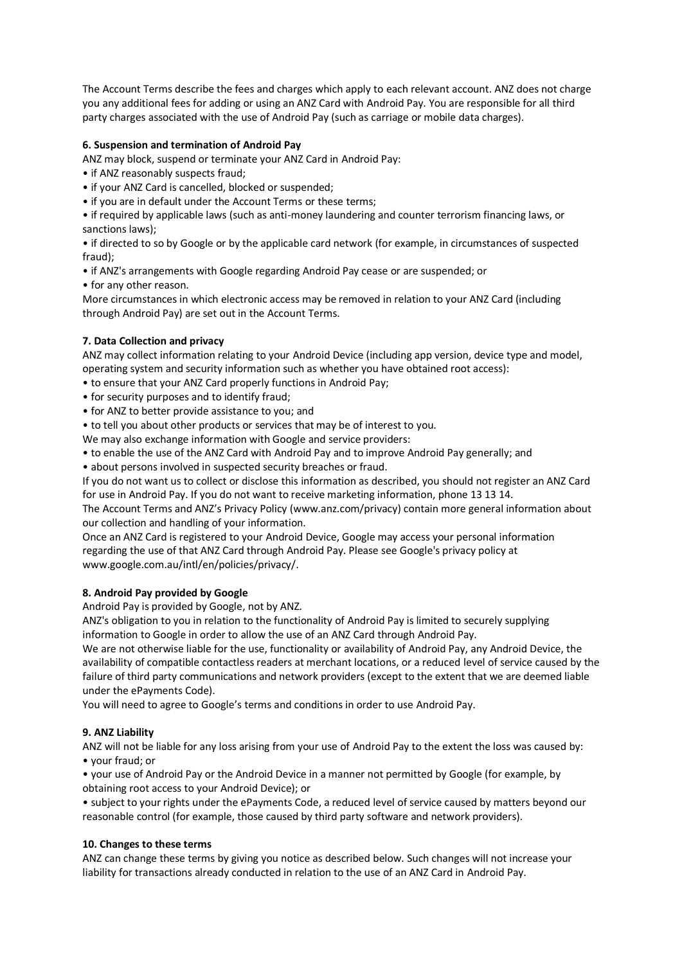The Account Terms describe the fees and charges which apply to each relevant account. ANZ does not charge you any additional fees for adding or using an ANZ Card with Android Pay. You are responsible for all third party charges associated with the use of Android Pay (such as carriage or mobile data charges).

## **6. Suspension and termination of Android Pay**

ANZ may block, suspend or terminate your ANZ Card in Android Pay:

- if ANZ reasonably suspects fraud;
- if your ANZ Card is cancelled, blocked or suspended;
- if you are in default under the Account Terms or these terms;

• if required by applicable laws (such as anti-money laundering and counter terrorism financing laws, or sanctions laws);

• if directed to so by Google or by the applicable card network (for example, in circumstances of suspected fraud);

- if ANZ's arrangements with Google regarding Android Pay cease or are suspended; or
- for any other reason.

More circumstances in which electronic access may be removed in relation to your ANZ Card (including through Android Pay) are set out in the Account Terms.

# **7. Data Collection and privacy**

ANZ may collect information relating to your Android Device (including app version, device type and model, operating system and security information such as whether you have obtained root access):

- to ensure that your ANZ Card properly functions in Android Pay;
- for security purposes and to identify fraud;
- for ANZ to better provide assistance to you; and

• to tell you about other products or services that may be of interest to you.

We may also exchange information with Google and service providers:

• to enable the use of the ANZ Card with Android Pay and to improve Android Pay generally; and

• about persons involved in suspected security breaches or fraud.

If you do not want us to collect or disclose this information as described, you should not register an ANZ Card for use in Android Pay. If you do not want to receive marketing information, phone 13 13 14.

The Account Terms and ANZ's Privacy Policy (www.anz.com/privacy) contain more general information about our collection and handling of your information.

Once an ANZ Card is registered to your Android Device, Google may access your personal information regarding the use of that ANZ Card through Android Pay. Please see Google's privacy policy at www.google.com.au/intl/en/policies/privacy/.

## **8. Android Pay provided by Google**

Android Pay is provided by Google, not by ANZ.

ANZ's obligation to you in relation to the functionality of Android Pay is limited to securely supplying information to Google in order to allow the use of an ANZ Card through Android Pay.

We are not otherwise liable for the use, functionality or availability of Android Pay, any Android Device, the availability of compatible contactless readers at merchant locations, or a reduced level of service caused by the failure of third party communications and network providers (except to the extent that we are deemed liable under the ePayments Code).

You will need to agree to Google's terms and conditions in order to use Android Pay.

## **9. ANZ Liability**

ANZ will not be liable for any loss arising from your use of Android Pay to the extent the loss was caused by: • your fraud; or

• your use of Android Pay or the Android Device in a manner not permitted by Google (for example, by obtaining root access to your Android Device); or

• subject to your rights under the ePayments Code, a reduced level of service caused by matters beyond our reasonable control (for example, those caused by third party software and network providers).

## **10. Changes to these terms**

ANZ can change these terms by giving you notice as described below. Such changes will not increase your liability for transactions already conducted in relation to the use of an ANZ Card in Android Pay.